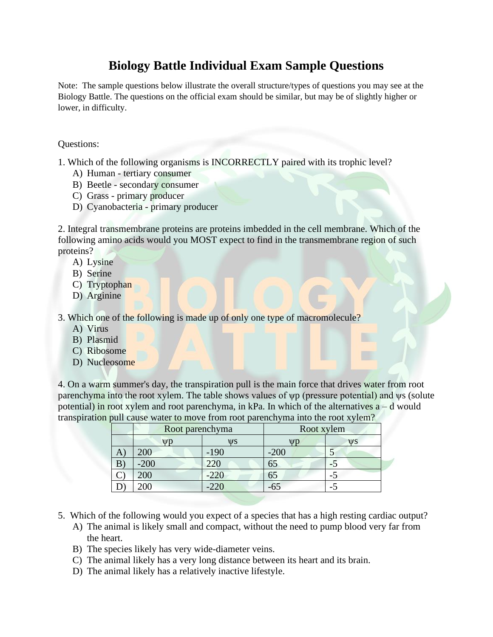## **Biology Battle Individual Exam Sample Questions**

Note: The sample questions below illustrate the overall structure/types of questions you may see at the Biology Battle. The questions on the official exam should be similar, but may be of slightly higher or lower, in difficulty.

Questions:

1. Which of the following organisms is INCORRECTLY paired with its trophic level?

- A) Human tertiary consumer
- B) Beetle secondary consumer
- C) Grass primary producer
- D) Cyanobacteria primary producer

2. Integral transmembrane proteins are proteins imbedded in the cell membrane. Which of the following amino acids would you MOST expect to find in the transmembrane region of such proteins?

- A) Lysine
- B) Serine
- C) Tryptophan
- D) Arginine

3. Which one of the following is made up of only one type of macromolecule?

- A) Virus
- B) Plasmid
- C) Ribosome
- D) Nucleosome

4. On a warm summer's day, the transpiration pull is the main force that drives water from root parenchyma into the root xylem. The table shows values of ψp (pressure potential) and ψs (solute potential) in root xylem and root parenchyma, in kPa. In which of the alternatives  $a - d$  would transpiration pull cause water to move from root parenchyma into the root xylem?

|   | Root parenchyma |        | Root xylem |           |
|---|-----------------|--------|------------|-----------|
|   | $\mathbf{u}$    | VS     |            | <b>WS</b> |
| A | 200             | $-190$ | $-200$     |           |
| B | $-200$          |        | 65         |           |
|   | 200             | $-220$ | 65         |           |
|   |                 | 221    |            |           |

- 5. Which of the following would you expect of a species that has a high resting cardiac output?
	- A) The animal is likely small and compact, without the need to pump blood very far from the heart.
	- B) The species likely has very wide-diameter veins.
	- C) The animal likely has a very long distance between its heart and its brain.
	- D) The animal likely has a relatively inactive lifestyle.